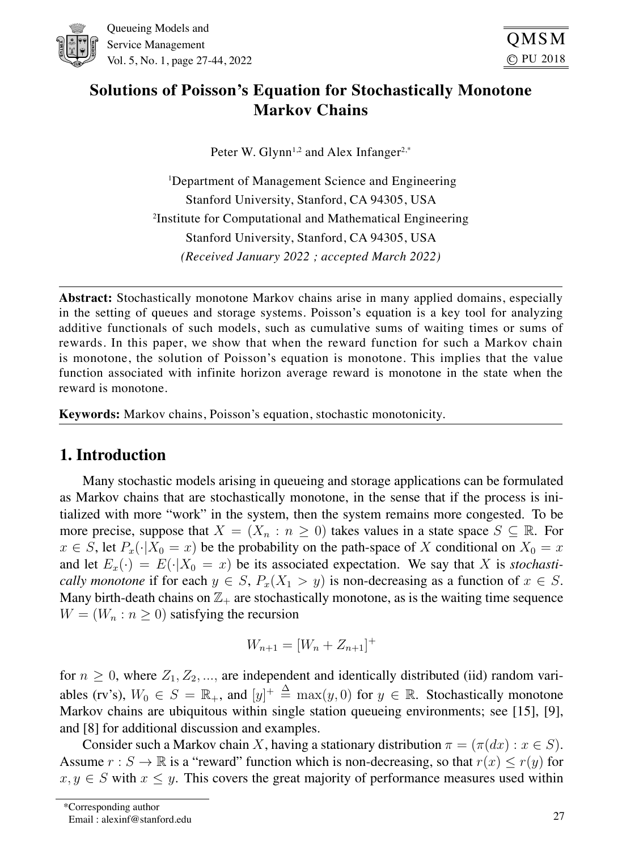

# **Solutions of Poisson's Equation for Stochastically Monotone Markov Chains**

Peter W. Glynn<sup>1,2</sup> and Alex Infanger<sup>2,\*</sup>

1 Department of Management Science and Engineering Stanford University, Stanford, CA 94305, USA 2 Institute for Computational and Mathematical Engineering Stanford University, Stanford, CA 94305, USA *(Received January 2022 ; accepted March 2022)*

**Abstract:** Stochastically monotone Markov chains arise in many applied domains, especially in the setting of queues and storage systems. Poisson's equation is a key tool for analyzing additive functionals of such models, such as cumulative sums of waiting times or sums of rewards. In this paper, we show that when the reward function for such a Markov chain is monotone, the solution of Poisson's equation is monotone. This implies that the value function associated with infinite horizon average reward is monotone in the state when the reward is monotone.

**Keywords:** Markov chains, Poisson's equation, stochastic monotonicity.

# 1. Introduction

Many stochastic models arising in queueing and storage applications can be formulated as Markov chains that are stochastically monotone, in the sense that if the process is initialized with more "work" in the system, then the system remains more congested. To be more precise, suppose that  $X = (X_n : n \geq 0)$  takes values in a state space  $S \subseteq \mathbb{R}$ . For  $x \in S$ , let  $P_x(\cdot|X_0 = x)$  be the probability on the path-space of X conditional on  $X_0 = x$ and let  $E_x(\cdot) = E(\cdot | X_0 = x)$  be its associated expectation. We say that X is *stochastically monotone* if for each  $y \in S$ ,  $P_x(X_1 > y)$  is non-decreasing as a function of  $x \in S$ . Many birth-death chains on  $\mathbb{Z}_+$  are stochastically monotone, as is the waiting time sequence  $W = (W_n : n \geq 0)$  satisfying the recursion

$$
W_{n+1} = [W_n + Z_{n+1}]^+
$$

for  $n \geq 0$ , where  $Z_1, Z_2, \ldots$ , are independent and identically distributed (iid) random variables (rv's),  $W_0 \in S = \mathbb{R}_+$ , and  $[y]^+ \triangleq \max(y, 0)$  for  $y \in \mathbb{R}$ . Stochastically monotone Markov chains are ubiquitous within single station queueing environments; see [15], [9], and [8] for additional discussion and examples.

Consider such a Markov chain X, having a stationary distribution  $\pi = (\pi(dx) : x \in S)$ . Assume  $r : S \to \mathbb{R}$  is a "reward" function which is non-decreasing, so that  $r(x) \le r(y)$  for  $x, y \in S$  with  $x \leq y$ . This covers the great majority of performance measures used within

Email : alexinf@stanford.edu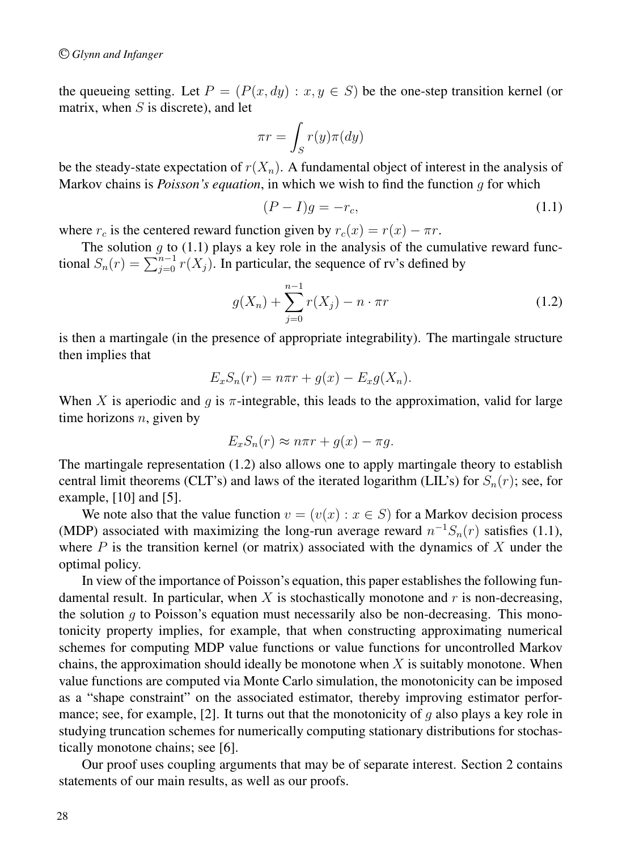the queueing setting. Let  $P = (P(x, dy) : x, y \in S)$  be the one-step transition kernel (or matrix, when  $S$  is discrete), and let

$$
\pi r = \int_S r(y)\pi(dy)
$$

be the steady-state expectation of  $r(X_n)$ . A fundamental object of interest in the analysis of Markov chains is *Poisson's equation*, in which we wish to find the function g for which

$$
(P - I)g = -r_c,\tag{1.1}
$$

where  $r_c$  is the centered reward function given by  $r_c(x) = r(x) - \pi r$ .

The solution  $g$  to (1.1) plays a key role in the analysis of the cumulative reward functional  $S_n(r) = \sum_{j=0}^{n-1} r(X_j)$ . In particular, the sequence of rv's defined by

$$
g(X_n) + \sum_{j=0}^{n-1} r(X_j) - n \cdot \pi r \tag{1.2}
$$

is then a martingale (in the presence of appropriate integrability). The martingale structure then implies that

$$
E_x S_n(r) = n\pi r + g(x) - E_x g(X_n).
$$

When X is aperiodic and q is  $\pi$ -integrable, this leads to the approximation, valid for large time horizons  $n$ , given by

$$
E_x S_n(r) \approx n\pi r + g(x) - \pi g.
$$

The martingale representation (1.2) also allows one to apply martingale theory to establish central limit theorems (CLT's) and laws of the iterated logarithm (LIL's) for  $S_n(r)$ ; see, for example, [10] and [5].

We note also that the value function  $v = (v(x) : x \in S)$  for a Markov decision process (MDP) associated with maximizing the long-run average reward  $n^{-1}S_n(r)$  satisfies (1.1), where  $P$  is the transition kernel (or matrix) associated with the dynamics of  $X$  under the optimal policy.

In view of the importance of Poisson's equation, this paper establishes the following fundamental result. In particular, when X is stochastically monotone and  $r$  is non-decreasing, the solution  $q$  to Poisson's equation must necessarily also be non-decreasing. This monotonicity property implies, for example, that when constructing approximating numerical schemes for computing MDP value functions or value functions for uncontrolled Markov chains, the approximation should ideally be monotone when  $X$  is suitably monotone. When value functions are computed via Monte Carlo simulation, the monotonicity can be imposed as a "shape constraint" on the associated estimator, thereby improving estimator performance; see, for example, [2]. It turns out that the monotonicity of  $q$  also plays a key role in studying truncation schemes for numerically computing stationary distributions for stochastically monotone chains; see [6].

Our proof uses coupling arguments that may be of separate interest. Section 2 contains statements of our main results, as well as our proofs.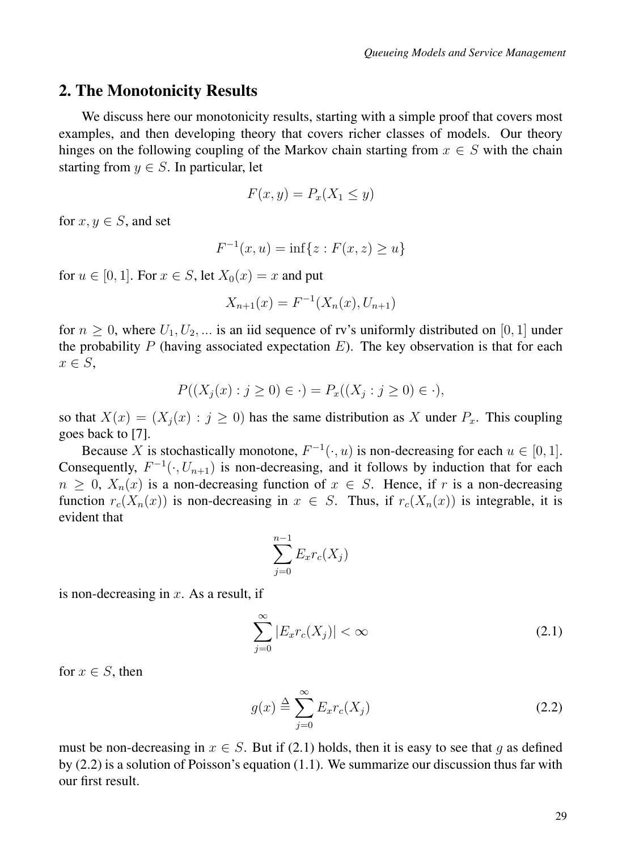### 2. The Monotonicity Results

We discuss here our monotonicity results, starting with a simple proof that covers most examples, and then developing theory that covers richer classes of models. Our theory hinges on the following coupling of the Markov chain starting from  $x \in S$  with the chain starting from  $y \in S$ . In particular, let

$$
F(x,y) = P_x(X_1 \le y)
$$

for  $x, y \in S$ , and set

$$
F^{-1}(x, u) = \inf\{z : F(x, z) \ge u\}
$$

for  $u \in [0, 1]$ . For  $x \in S$ , let  $X_0(x) = x$  and put

$$
X_{n+1}(x) = F^{-1}(X_n(x), U_{n+1})
$$

for  $n \geq 0$ , where  $U_1, U_2, \dots$  is an iid sequence of rv's uniformly distributed on [0, 1] under the probability P (having associated expectation  $E$ ). The key observation is that for each  $x \in S$ ,

$$
P((X_j(x) : j \ge 0) \in \cdot) = P_x((X_j : j \ge 0) \in \cdot),
$$

so that  $X(x)=(X_i (x) : j \ge 0)$  has the same distribution as X under  $P_x$ . This coupling goes back to [7].

Because X is stochastically monotone,  $F^{-1}(\cdot, u)$  is non-decreasing for each  $u \in [0, 1]$ . Consequently,  $F^{-1}(\cdot, U_{n+1})$  is non-decreasing, and it follows by induction that for each  $n > 0$ ,  $X_n(x)$  is a non-decreasing function of  $x \in S$ . Hence, if r is a non-decreasing function  $r_c(X_n(x))$  is non-decreasing in  $x \in S$ . Thus, if  $r_c(X_n(x))$  is integrable, it is evident that

$$
\sum_{j=0}^{n-1} E_x r_c(X_j)
$$

is non-decreasing in  $x$ . As a result, if

$$
\sum_{j=0}^{\infty} |E_x r_c(X_j)| < \infty \tag{2.1}
$$

for  $x \in S$ , then

$$
g(x) \stackrel{\Delta}{=} \sum_{j=0}^{\infty} E_x r_c(X_j)
$$
 (2.2)

must be non-decreasing in  $x \in S$ . But if (2.1) holds, then it is easy to see that q as defined by (2.2) is a solution of Poisson's equation (1.1). We summarize our discussion thus far with our first result.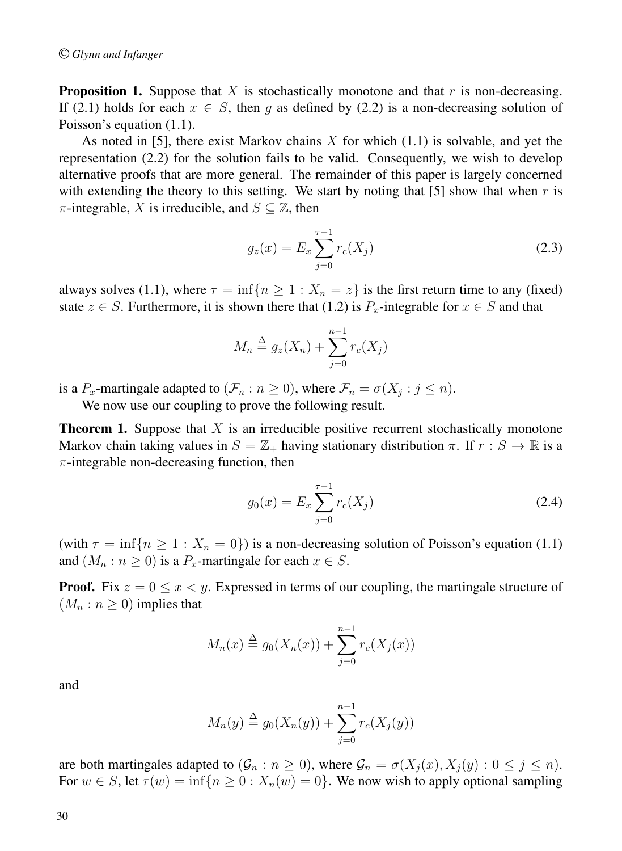**Proposition 1.** Suppose that X is stochastically monotone and that  $r$  is non-decreasing. If (2.1) holds for each  $x \in S$ , then q as defined by (2.2) is a non-decreasing solution of Poisson's equation (1.1).

As noted in [5], there exist Markov chains  $X$  for which  $(1.1)$  is solvable, and yet the representation (2.2) for the solution fails to be valid. Consequently, we wish to develop alternative proofs that are more general. The remainder of this paper is largely concerned with extending the theory to this setting. We start by noting that [5] show that when  $r$  is  $\pi$ -integrable, X is irreducible, and  $S \subseteq \mathbb{Z}$ , then

$$
g_z(x) = E_x \sum_{j=0}^{\tau - 1} r_c(X_j)
$$
 (2.3)

always solves (1.1), where  $\tau = \inf\{n > 1 : X_n = z\}$  is the first return time to any (fixed) state  $z \in S$ . Furthermore, it is shown there that (1.2) is  $P_x$ -integrable for  $x \in S$  and that

$$
M_n \stackrel{\Delta}{=} g_z(X_n) + \sum_{j=0}^{n-1} r_c(X_j)
$$

is a  $P_x$ -martingale adapted to  $(\mathcal{F}_n : n \ge 0)$ , where  $\mathcal{F}_n = \sigma(X_i : j \le n)$ .

We now use our coupling to prove the following result.

**Theorem 1.** Suppose that  $X$  is an irreducible positive recurrent stochastically monotone Markov chain taking values in  $S = \mathbb{Z}_+$  having stationary distribution  $\pi$ . If  $r : S \to \mathbb{R}$  is a  $\pi$ -integrable non-decreasing function, then

$$
g_0(x) = E_x \sum_{j=0}^{\tau - 1} r_c(X_j)
$$
 (2.4)

(with  $\tau = \inf\{n \ge 1 : X_n = 0\}$ ) is a non-decreasing solution of Poisson's equation (1.1) and  $(M_n : n \ge 0)$  is a  $P_x$ -martingale for each  $x \in S$ .

**Proof.** Fix  $z = 0 \le x \le y$ . Expressed in terms of our coupling, the martingale structure of  $(M_n : n \geq 0)$  implies that

$$
M_n(x) \stackrel{\Delta}{=} g_0(X_n(x)) + \sum_{j=0}^{n-1} r_c(X_j(x))
$$

and

$$
M_n(y) \stackrel{\Delta}{=} g_0(X_n(y)) + \sum_{j=0}^{n-1} r_c(X_j(y))
$$

are both martingales adapted to  $(\mathcal{G}_n : n \ge 0)$ , where  $\mathcal{G}_n = \sigma(X_j(x), X_j(y): 0 \le j \le n)$ . For  $w \in S$ , let  $\tau(w) = \inf\{n \geq 0 : X_n(w) = 0\}$ . We now wish to apply optional sampling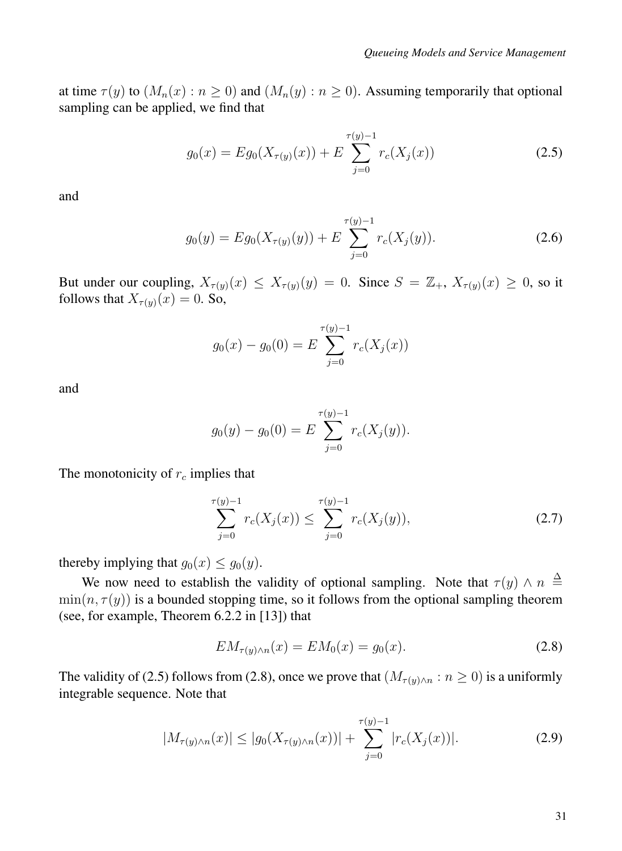at time  $\tau(y)$  to  $(M_n(x) : n \ge 0)$  and  $(M_n(y) : n \ge 0)$ . Assuming temporarily that optional sampling can be applied, we find that

$$
g_0(x) = Eg_0(X_{\tau(y)}(x)) + E \sum_{j=0}^{\tau(y)-1} r_c(X_j(x))
$$
\n(2.5)

and

$$
g_0(y) = Eg_0(X_{\tau(y)}(y)) + E \sum_{j=0}^{\tau(y)-1} r_c(X_j(y)).
$$
\n(2.6)

But under our coupling,  $X_{\tau(y)}(x) \leq X_{\tau(y)}(y) = 0$ . Since  $S = \mathbb{Z}_+, X_{\tau(y)}(x) \geq 0$ , so it follows that  $X_{\tau(y)}(x)=0$ . So,

$$
g_0(x) - g_0(0) = E \sum_{j=0}^{\tau(y)-1} r_c(X_j(x))
$$

and

$$
g_0(y) - g_0(0) = E \sum_{j=0}^{\tau(y)-1} r_c(X_j(y)).
$$

The monotonicity of  $r_c$  implies that

$$
\sum_{j=0}^{\tau(y)-1} r_c(X_j(x)) \le \sum_{j=0}^{\tau(y)-1} r_c(X_j(y)),\tag{2.7}
$$

thereby implying that  $g_0(x) \leq g_0(y)$ .

We now need to establish the validity of optional sampling. Note that  $\tau(y) \wedge n \stackrel{\Delta}{=}$  $min(n, \tau(y))$  is a bounded stopping time, so it follows from the optional sampling theorem (see, for example, Theorem 6.2.2 in [13]) that

$$
EM_{\tau(y)\wedge n}(x) = EM_0(x) = g_0(x). \tag{2.8}
$$

The validity of (2.5) follows from (2.8), once we prove that  $(M_{\tau(y)\wedge n}: n \ge 0)$  is a uniformly integrable sequence. Note that

$$
|M_{\tau(y)\wedge n}(x)| \le |g_0(X_{\tau(y)\wedge n}(x))| + \sum_{j=0}^{\tau(y)-1} |r_c(X_j(x))|.
$$
 (2.9)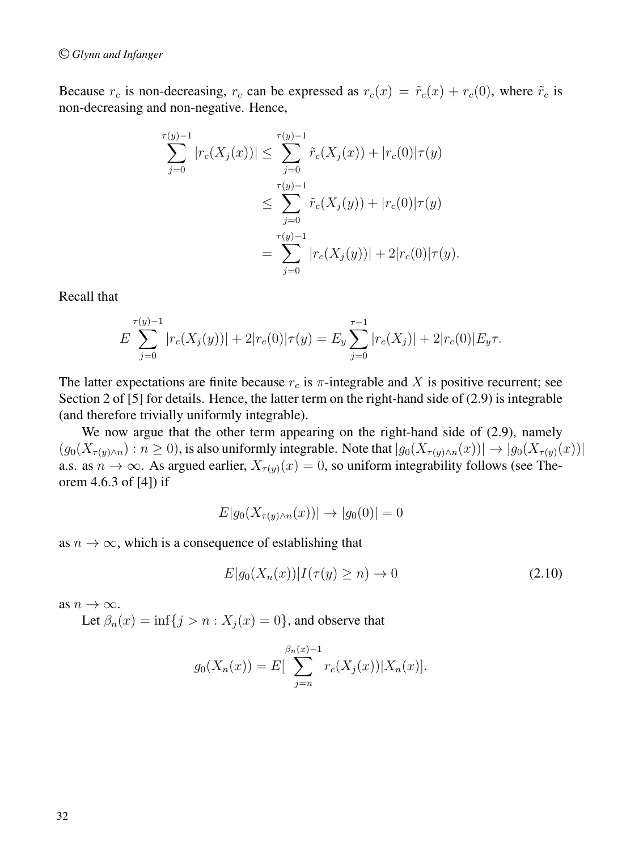Because  $r_c$  is non-decreasing,  $r_c$  can be expressed as  $r_c(x) = \tilde{r}_c(x) + r_c(0)$ , where  $\tilde{r}_c$  is non-decreasing and non-negative. Hence,

$$
\sum_{j=0}^{\tau(y)-1} |r_c(X_j(x))| \le \sum_{j=0}^{\tau(y)-1} \tilde{r}_c(X_j(x)) + |r_c(0)|\tau(y)
$$
  

$$
\le \sum_{j=0}^{\tau(y)-1} \tilde{r}_c(X_j(y)) + |r_c(0)|\tau(y)
$$
  

$$
= \sum_{j=0}^{\tau(y)-1} |r_c(X_j(y))| + 2|r_c(0)|\tau(y).
$$

Recall that

$$
E\sum_{j=0}^{\tau(y)-1}|r_c(X_j(y))|+2|r_c(0)|\tau(y)=E_y\sum_{j=0}^{\tau-1}|r_c(X_j)|+2|r_c(0)|E_y\tau.
$$

The latter expectations are finite because  $r_c$  is  $\pi$ -integrable and X is positive recurrent; see Section 2 of [5] for details. Hence, the latter term on the right-hand side of (2.9) is integrable (and therefore trivially uniformly integrable).

We now argue that the other term appearing on the right-hand side of  $(2.9)$ , namely  $(g_0(X_{\tau(y)\wedge n}): n \ge 0)$ , is also uniformly integrable. Note that  $|g_0(X_{\tau(y)\wedge n}(x))| \to |g_0(X_{\tau(y)}(x))|$ a.s. as  $n \to \infty$ . As argued earlier,  $X_{\tau(y)}(x)=0$ , so uniform integrability follows (see Theorem 4.6.3 of [4]) if

$$
E|g_0(X_{\tau(y)\wedge n}(x))| \to |g_0(0)| = 0
$$

as  $n \to \infty$ , which is a consequence of establishing that

$$
E|g_0(X_n(x))|I(\tau(y)\geq n)\to 0\tag{2.10}
$$

as  $n \to \infty$ .

Let  $\beta_n(x) = \inf\{j > n : X_j(x) = 0\}$ , and observe that

$$
g_0(X_n(x)) = E\left[\sum_{j=n}^{\beta_n(x)-1} r_c(X_j(x)) | X_n(x) \right].
$$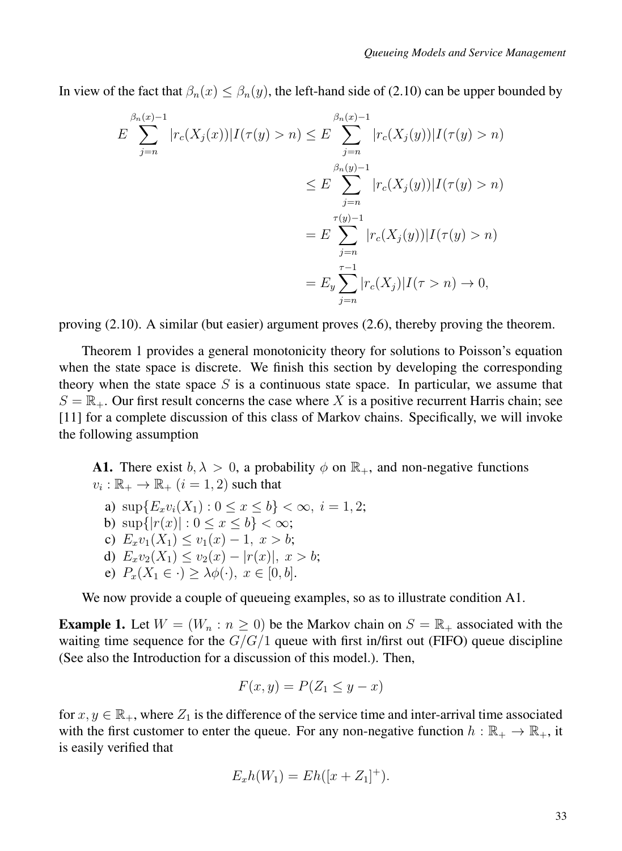In view of the fact that  $\beta_n(x) \leq \beta_n(y)$ , the left-hand side of (2.10) can be upper bounded by

$$
E \sum_{j=n}^{\beta_n(x)-1} |r_c(X_j(x))|I(\tau(y) > n) \le E \sum_{j=n}^{\beta_n(x)-1} |r_c(X_j(y))|I(\tau(y) > n)
$$
  

$$
\le E \sum_{j=n}^{\beta_n(y)-1} |r_c(X_j(y))|I(\tau(y) > n)
$$
  

$$
= E \sum_{j=n}^{\tau(y)-1} |r_c(X_j(y))|I(\tau(y) > n)
$$
  

$$
= E_y \sum_{j=n}^{\tau-1} |r_c(X_j)|I(\tau > n) \to 0,
$$

proving (2.10). A similar (but easier) argument proves (2.6), thereby proving the theorem.

Theorem 1 provides a general monotonicity theory for solutions to Poisson's equation when the state space is discrete. We finish this section by developing the corresponding theory when the state space  $S$  is a continuous state space. In particular, we assume that  $S = \mathbb{R}_+$ . Our first result concerns the case where X is a positive recurrent Harris chain; see [11] for a complete discussion of this class of Markov chains. Specifically, we will invoke the following assumption

**A1.** There exist  $b, \lambda > 0$ , a probability  $\phi$  on  $\mathbb{R}_+$ , and non-negative functions  $v_i : \mathbb{R}_+ \to \mathbb{R}_+$   $(i = 1, 2)$  such that

- a)  $\sup\{E_xv_i(X_1):0\leq x\leq b\}<\infty, i=1,2;$
- b)  $\sup\{|r(x)| : 0 \le x \le b\} < \infty;$
- c)  $E_xv_1(X_1) \le v_1(x) 1, x > b;$
- d)  $E_xv_2(X_1) \le v_2(x) |r(x)|$ ,  $x > b$ ;
- e)  $P_x(X_1 \in \cdot) \geq \lambda \phi(\cdot), x \in [0, b].$

We now provide a couple of queueing examples, so as to illustrate condition A1.

**Example 1.** Let  $W = (W_n : n \ge 0)$  be the Markov chain on  $S = \mathbb{R}_+$  associated with the waiting time sequence for the  $G/G/1$  queue with first in/first out (FIFO) queue discipline (See also the Introduction for a discussion of this model.). Then,

$$
F(x,y) = P(Z_1 \le y - x)
$$

for  $x, y \in \mathbb{R}_+$ , where  $Z_1$  is the difference of the service time and inter-arrival time associated with the first customer to enter the queue. For any non-negative function  $h : \mathbb{R}_+ \to \mathbb{R}_+$ , it is easily verified that

$$
E_xh(W_1) = Eh([x + Z_1]^+).
$$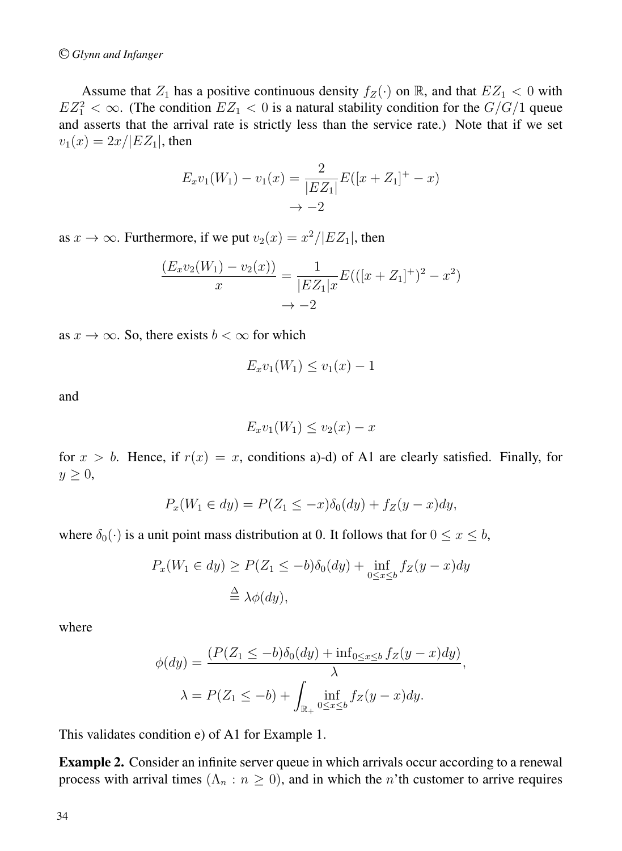Assume that  $Z_1$  has a positive continuous density  $f_Z(\cdot)$  on  $\mathbb{R}$ , and that  $EZ_1 < 0$  with  $EZ_1^2 < \infty$ . (The condition  $EZ_1 < 0$  is a natural stability condition for the  $G/G/1$  queue and asserts that the arrival rate is strictly less than the service rate.) Note that if we set  $v_1(x)=2x/|EZ_1|$ , then

$$
E_x v_1(W_1) - v_1(x) = \frac{2}{|EZ_1|} E([x + Z_1]^+ - x)
$$
  

$$
\to -2
$$

as  $x \to \infty$ . Furthermore, if we put  $v_2(x) = x^2/|EZ_1|$ , then

$$
\frac{(E_x v_2(W_1) - v_2(x))}{x} = \frac{1}{|EZ_1|x} E(([x + Z_1]^+)^2 - x^2)
$$

$$
\to -2
$$

as  $x \to \infty$ . So, there exists  $b < \infty$  for which

$$
E_x v_1(W_1) \le v_1(x) - 1
$$

and

$$
E_x v_1(W_1) \le v_2(x) - x
$$

for  $x > b$ . Hence, if  $r(x) = x$ , conditions a)-d) of A1 are clearly satisfied. Finally, for  $y \geq 0$ ,

$$
P_x(W_1 \in dy) = P(Z_1 \le -x)\delta_0(dy) + f_Z(y - x)dy,
$$

where  $\delta_0(\cdot)$  is a unit point mass distribution at 0. It follows that for  $0 \le x \le b$ ,

$$
P_x(W_1 \in dy) \ge P(Z_1 \le -b)\delta_0(dy) + \inf_{0 \le x \le b} f_Z(y - x)dy
$$
  

$$
\stackrel{\Delta}{=} \lambda \phi(dy),
$$

where

$$
\phi(dy) = \frac{(P(Z_1 \le -b)\delta_0(dy) + \inf_{0 \le x \le b} f_Z(y - x)dy)}{\lambda},
$$
  

$$
\lambda = P(Z_1 \le -b) + \int_{\mathbb{R}_+} \inf_{0 \le x \le b} f_Z(y - x)dy.
$$

This validates condition e) of A1 for Example 1.

Example 2. Consider an infinite server queue in which arrivals occur according to a renewal process with arrival times ( $\Lambda_n : n \geq 0$ ), and in which the n'th customer to arrive requires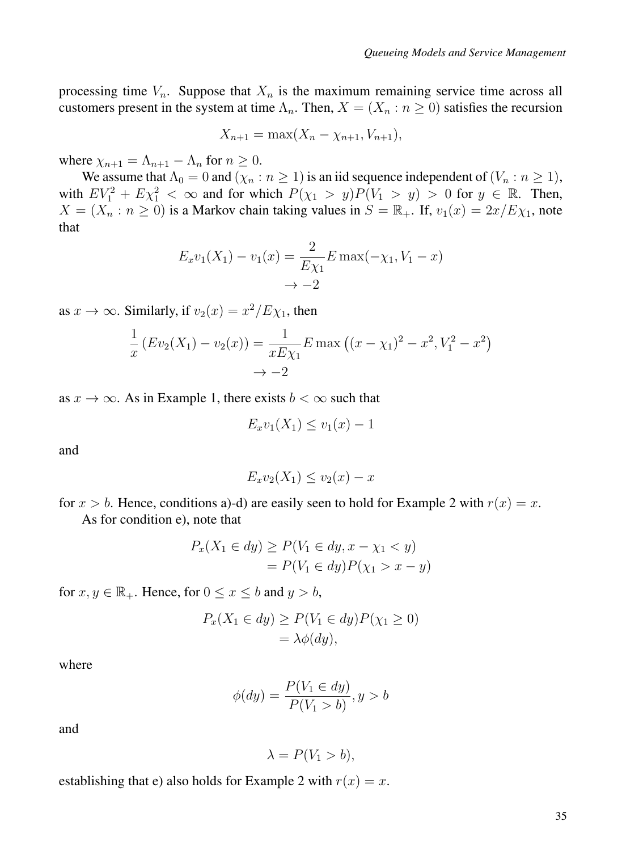processing time  $V_n$ . Suppose that  $X_n$  is the maximum remaining service time across all customers present in the system at time  $\Lambda_n$ . Then,  $X = (X_n : n \ge 0)$  satisfies the recursion

$$
X_{n+1} = \max(X_n - \chi_{n+1}, V_{n+1}),
$$

where  $\chi_{n+1} = \Lambda_{n+1} - \Lambda_n$  for  $n \geq 0$ .

We assume that  $\Lambda_0 = 0$  and  $(\chi_n : n \ge 1)$  is an iid sequence independent of  $(V_n : n \ge 1)$ , with  $EV_1^2 + E\chi_1^2 < \infty$  and for which  $P(\chi_1 > y)P(V_1 > y) > 0$  for  $y \in \mathbb{R}$ . Then,  $X = (X_n : n \ge 0)$  is a Markov chain taking values in  $S = \mathbb{R}_+$ . If,  $v_1(x) = 2x/E\chi_1$ , note that

$$
E_x v_1(X_1) - v_1(x) = \frac{2}{E\chi_1} E \max(-\chi_1, V_1 - x)
$$

$$
\to -2
$$

as  $x \to \infty$ . Similarly, if  $v_2(x) = x^2/E_{\chi_1}$ , then

$$
\frac{1}{x}(Ev_2(X_1) - v_2(x)) = \frac{1}{xE\chi_1} E \max ((x - \chi_1)^2 - x^2, V_1^2 - x^2)
$$
  

$$
\to -2
$$

as  $x \to \infty$ . As in Example 1, there exists  $b < \infty$  such that

$$
E_x v_1(X_1) \le v_1(x) - 1
$$

and

$$
E_x v_2(X_1) \le v_2(x) - x
$$

for  $x > b$ . Hence, conditions a)-d) are easily seen to hold for Example 2 with  $r(x) = x$ . As for condition e), note that

$$
P_x(X_1 \in dy) \ge P(V_1 \in dy, x - \chi_1 < y)
$$
\n
$$
= P(V_1 \in dy)P(\chi_1 > x - y)
$$

for  $x, y \in \mathbb{R}_+$ . Hence, for  $0 \le x \le b$  and  $y > b$ ,

$$
P_x(X_1 \in dy) \ge P(V_1 \in dy)P(\chi_1 \ge 0)
$$
  
=  $\lambda \phi(dy)$ ,

where

$$
\phi(dy) = \frac{P(V_1 \in dy)}{P(V_1 > b)}, y > b
$$

and

$$
\lambda = P(V_1 > b),
$$

establishing that e) also holds for Example 2 with  $r(x) = x$ .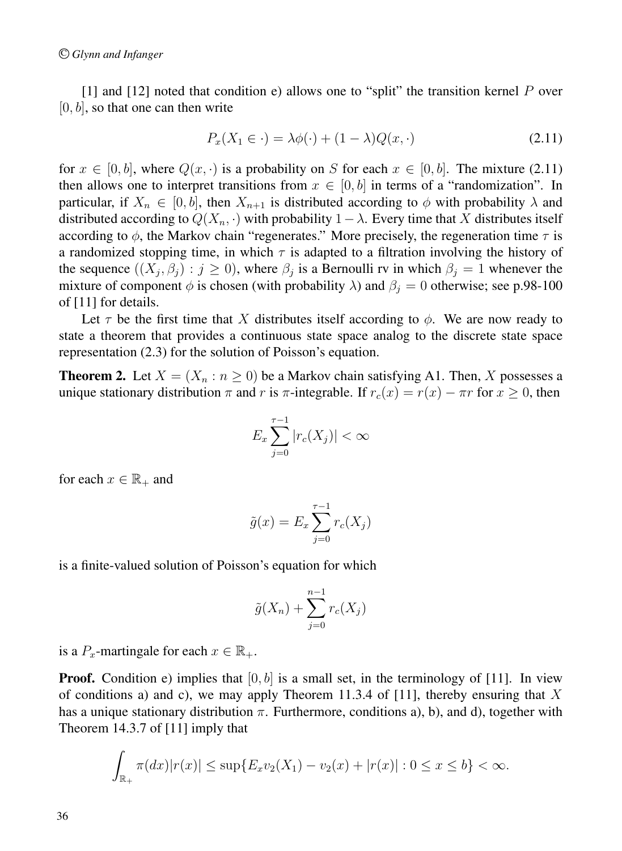[1] and [12] noted that condition e) allows one to "split" the transition kernel P over  $[0, b]$ , so that one can then write

$$
P_x(X_1 \in \cdot) = \lambda \phi(\cdot) + (1 - \lambda)Q(x, \cdot) \tag{2.11}
$$

for  $x \in [0, b]$ , where  $Q(x, \cdot)$  is a probability on S for each  $x \in [0, b]$ . The mixture (2.11) then allows one to interpret transitions from  $x \in [0, b]$  in terms of a "randomization". In particular, if  $X_n \in [0, b]$ , then  $X_{n+1}$  is distributed according to  $\phi$  with probability  $\lambda$  and distributed according to  $Q(X_n, \cdot)$  with probability  $1 - \lambda$ . Every time that X distributes itself according to  $\phi$ , the Markov chain "regenerates." More precisely, the regeneration time  $\tau$  is a randomized stopping time, in which  $\tau$  is adapted to a filtration involving the history of the sequence  $((X_i, \beta_i) : j \geq 0)$ , where  $\beta_i$  is a Bernoulli rv in which  $\beta_i = 1$  whenever the mixture of component  $\phi$  is chosen (with probability  $\lambda$ ) and  $\beta_j = 0$  otherwise; see p.98-100 of [11] for details.

Let  $\tau$  be the first time that X distributes itself according to  $\phi$ . We are now ready to state a theorem that provides a continuous state space analog to the discrete state space representation (2.3) for the solution of Poisson's equation.

**Theorem 2.** Let  $X = (X_n : n \ge 0)$  be a Markov chain satisfying A1. Then, X possesses a unique stationary distribution  $\pi$  and r is  $\pi$ -integrable. If  $r_c(x) = r(x) - \pi r$  for  $x \ge 0$ , then

$$
E_x \sum_{j=0}^{\tau-1} |r_c(X_j)| < \infty
$$

for each  $x \in \mathbb{R}_+$  and

$$
\tilde{g}(x) = E_x \sum_{j=0}^{\tau-1} r_c(X_j)
$$

is a finite-valued solution of Poisson's equation for which

$$
\tilde{g}(X_n) + \sum_{j=0}^{n-1} r_c(X_j)
$$

is a  $P_x$ -martingale for each  $x \in \mathbb{R}_+$ .

**Proof.** Condition e) implies that  $[0, b]$  is a small set, in the terminology of [11]. In view of conditions a) and c), we may apply Theorem 11.3.4 of [11], thereby ensuring that X has a unique stationary distribution  $\pi$ . Furthermore, conditions a), b), and d), together with Theorem 14.3.7 of [11] imply that

$$
\int_{\mathbb{R}_+} \pi(dx)|r(x)| \le \sup\{E_x v_2(X_1) - v_2(x) + |r(x)| : 0 \le x \le b\} < \infty.
$$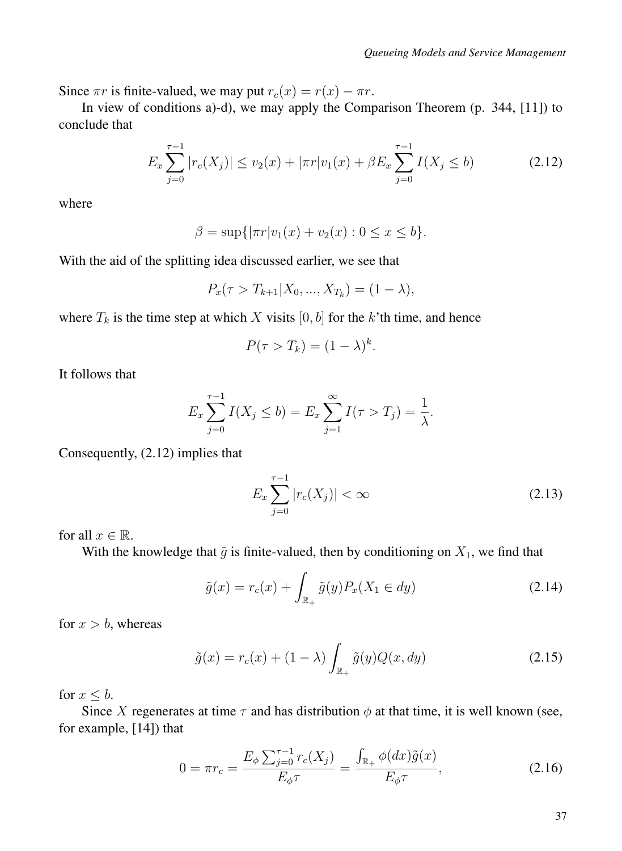Since  $\pi r$  is finite-valued, we may put  $r_c(x) = r(x) - \pi r$ .

In view of conditions a)-d), we may apply the Comparison Theorem (p. 344, [11]) to conclude that

$$
E_x \sum_{j=0}^{\tau-1} |r_c(X_j)| \le v_2(x) + |\pi r| v_1(x) + \beta E_x \sum_{j=0}^{\tau-1} I(X_j \le b)
$$
 (2.12)

where

$$
\beta = \sup\{|\pi r|v_1(x) + v_2(x) : 0 \le x \le b\}.
$$

With the aid of the splitting idea discussed earlier, we see that

$$
P_x(\tau > T_{k+1} | X_0, ..., X_{T_k}) = (1 - \lambda),
$$

where  $T_k$  is the time step at which X visits  $[0, b]$  for the k'th time, and hence

$$
P(\tau > T_k) = (1 - \lambda)^k.
$$

It follows that

$$
E_x \sum_{j=0}^{\tau-1} I(X_j \le b) = E_x \sum_{j=1}^{\infty} I(\tau > T_j) = \frac{1}{\lambda}.
$$

Consequently, (2.12) implies that

$$
E_x \sum_{j=0}^{\tau - 1} |r_c(X_j)| < \infty \tag{2.13}
$$

for all  $x \in \mathbb{R}$ .

With the knowledge that  $\tilde{g}$  is finite-valued, then by conditioning on  $X_1$ , we find that

$$
\tilde{g}(x) = r_c(x) + \int_{\mathbb{R}_+} \tilde{g}(y) P_x(X_1 \in dy)
$$
\n(2.14)

for  $x > b$ , whereas

$$
\tilde{g}(x) = r_c(x) + (1 - \lambda) \int_{\mathbb{R}_+} \tilde{g}(y) Q(x, dy)
$$
\n(2.15)

for  $x \leq b$ .

Since X regenerates at time  $\tau$  and has distribution  $\phi$  at that time, it is well known (see, for example, [14]) that

$$
0 = \pi r_c = \frac{E_{\phi} \sum_{j=0}^{\tau-1} r_c(X_j)}{E_{\phi} \tau} = \frac{\int_{\mathbb{R}_+} \phi(dx) \tilde{g}(x)}{E_{\phi} \tau},
$$
(2.16)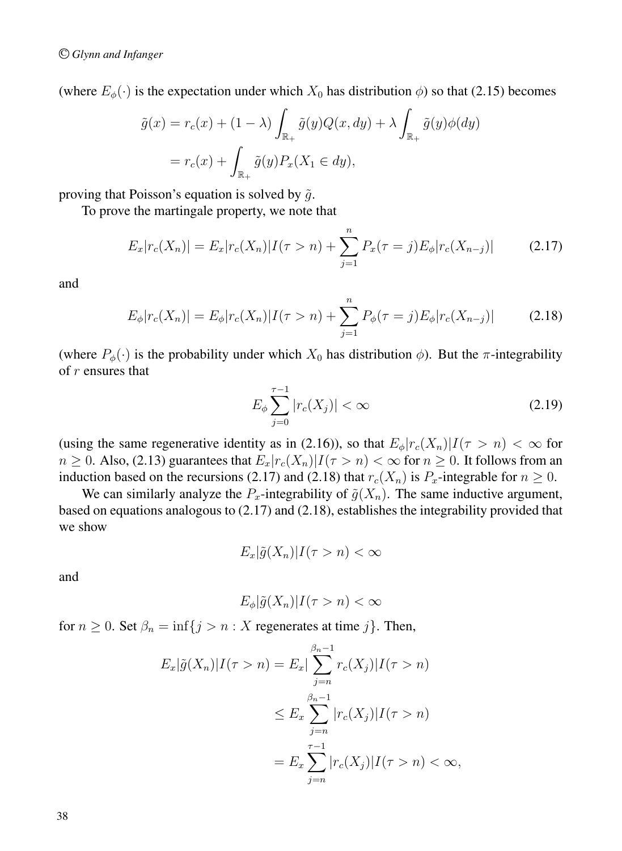(where  $E_{\phi}(\cdot)$  is the expectation under which  $X_0$  has distribution  $\phi$ ) so that (2.15) becomes

$$
\tilde{g}(x) = r_c(x) + (1 - \lambda) \int_{\mathbb{R}_+} \tilde{g}(y) Q(x, dy) + \lambda \int_{\mathbb{R}_+} \tilde{g}(y) \phi(dy)
$$

$$
= r_c(x) + \int_{\mathbb{R}_+} \tilde{g}(y) P_x(X_1 \in dy),
$$

proving that Poisson's equation is solved by  $\tilde{g}$ .

To prove the martingale property, we note that

$$
E_x|r_c(X_n)| = E_x|r_c(X_n)|I(\tau > n) + \sum_{j=1}^n P_x(\tau = j)E_\phi|r_c(X_{n-j})| \tag{2.17}
$$

and

$$
E_{\phi}|r_c(X_n)| = E_{\phi}|r_c(X_n)|I(\tau > n) + \sum_{j=1}^n P_{\phi}(\tau = j)E_{\phi}|r_c(X_{n-j})| \tag{2.18}
$$

(where  $P_{\phi}(\cdot)$  is the probability under which  $X_0$  has distribution  $\phi$ ). But the  $\pi$ -integrability of r ensures that

$$
E_{\phi} \sum_{j=0}^{\tau-1} |r_c(X_j)| < \infty \tag{2.19}
$$

(using the same regenerative identity as in (2.16)), so that  $E_{\phi}|r_c(X_n)|I(\tau>n) < \infty$  for  $n \geq 0$ . Also, (2.13) guarantees that  $E_x|r_c(X_n)|I(\tau>n)| < \infty$  for  $n \geq 0$ . It follows from an induction based on the recursions (2.17) and (2.18) that  $r_c(X_n)$  is  $P_x$ -integrable for  $n \ge 0$ .

We can similarly analyze the  $P_x$ -integrability of  $\tilde{g}(X_n)$ . The same inductive argument, based on equations analogous to (2.17) and (2.18), establishes the integrability provided that we show

$$
E_x|\tilde{g}(X_n)|I(\tau > n) < \infty
$$

and

$$
E_{\phi}|\tilde{g}(X_n)|I(\tau > n) < \infty
$$

for  $n \geq 0$ . Set  $\beta_n = \inf\{j > n : X$  regenerates at time j}. Then,

$$
E_x|\tilde{g}(X_n)|I(\tau > n) = E_x|\sum_{j=n}^{\beta_n - 1} r_c(X_j)|I(\tau > n)
$$
  

$$
\leq E_x \sum_{j=n}^{\beta_n - 1} |r_c(X_j)|I(\tau > n)
$$
  

$$
= E_x \sum_{j=n}^{\tau - 1} |r_c(X_j)|I(\tau > n) < \infty,
$$

38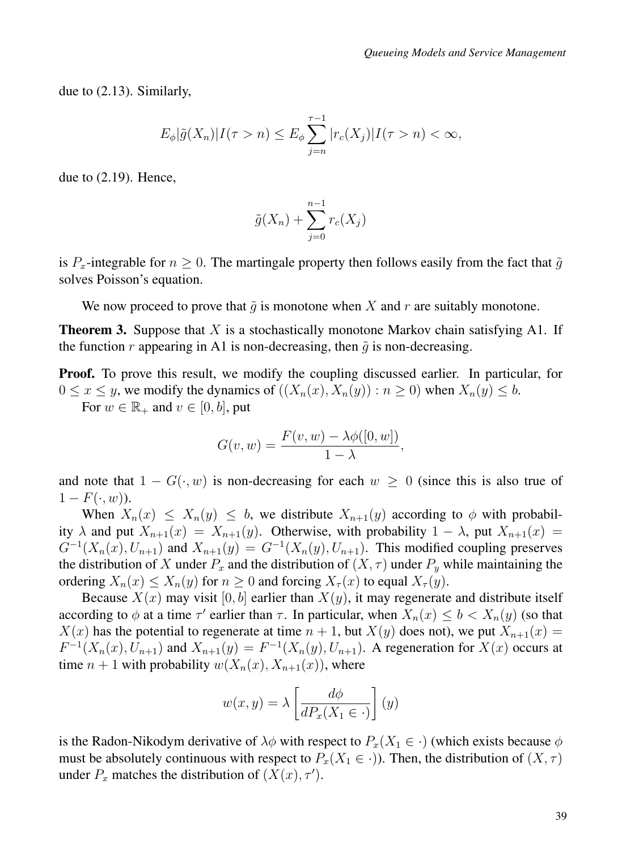due to (2.13). Similarly,

$$
E_{\phi}|\tilde{g}(X_n)|I(\tau > n) \leq E_{\phi} \sum_{j=n}^{\tau-1} |r_c(X_j)|I(\tau > n) < \infty,
$$

due to (2.19). Hence,

$$
\tilde{g}(X_n) + \sum_{j=0}^{n-1} r_c(X_j)
$$

is  $P_x$ -integrable for  $n \geq 0$ . The martingale property then follows easily from the fact that  $\tilde{g}$ solves Poisson's equation.

We now proceed to prove that  $\tilde{g}$  is monotone when X and r are suitably monotone.

**Theorem 3.** Suppose that  $X$  is a stochastically monotone Markov chain satisfying A1. If the function r appearing in A1 is non-decreasing, then  $\tilde{q}$  is non-decreasing.

Proof. To prove this result, we modify the coupling discussed earlier. In particular, for  $0 \le x \le y$ , we modify the dynamics of  $((X_n(x), X_n(y)) : n \ge 0)$  when  $X_n(y) \le b$ .

For  $w \in \mathbb{R}_+$  and  $v \in [0, b]$ , put

$$
G(v, w) = \frac{F(v, w) - \lambda \phi([0, w])}{1 - \lambda},
$$

and note that  $1 - G(\cdot, w)$  is non-decreasing for each  $w \ge 0$  (since this is also true of  $1-F(\cdot,w)$ ).

When  $X_n(x) \leq X_n(y) \leq b$ , we distribute  $X_{n+1}(y)$  according to  $\phi$  with probability  $\lambda$  and put  $X_{n+1}(x) = X_{n+1}(y)$ . Otherwise, with probability  $1 - \lambda$ , put  $X_{n+1}(x) =$  $G^{-1}(X_n(x), U_{n+1})$  and  $X_{n+1}(y) = G^{-1}(X_n(y), U_{n+1})$ . This modified coupling preserves the distribution of X under  $P_x$  and the distribution of  $(X, \tau)$  under  $P_y$  while maintaining the ordering  $X_n(x) \leq X_n(y)$  for  $n \geq 0$  and forcing  $X_\tau(x)$  to equal  $X_\tau(y)$ .

Because  $X(x)$  may visit [0, b] earlier than  $X(y)$ , it may regenerate and distribute itself according to  $\phi$  at a time  $\tau'$  earlier than  $\tau$ . In particular, when  $X_n(x) \leq b < X_n(y)$  (so that  $X(x)$  has the potential to regenerate at time  $n + 1$ , but  $X(y)$  does not), we put  $X_{n+1}(x) =$  $F^{-1}(X_n(x), \overline{U}_{n+1})$  and  $X_{n+1}(y) = F^{-1}(X_n(y), U_{n+1})$ . A regeneration for  $X(x)$  occurs at time  $n + 1$  with probability  $w(X_n(x), X_{n+1}(x))$ , where

$$
w(x,y) = \lambda \left[ \frac{d\phi}{dP_x(X_1 \in \cdot)} \right](y)
$$

is the Radon-Nikodym derivative of  $\lambda \phi$  with respect to  $P_x(X_1 \in \cdot)$  (which exists because  $\phi$ must be absolutely continuous with respect to  $P_x(X_1 \in \cdot)$ ). Then, the distribution of  $(X, \tau)$ under  $P_x$  matches the distribution of  $(X(x), \tau')$ .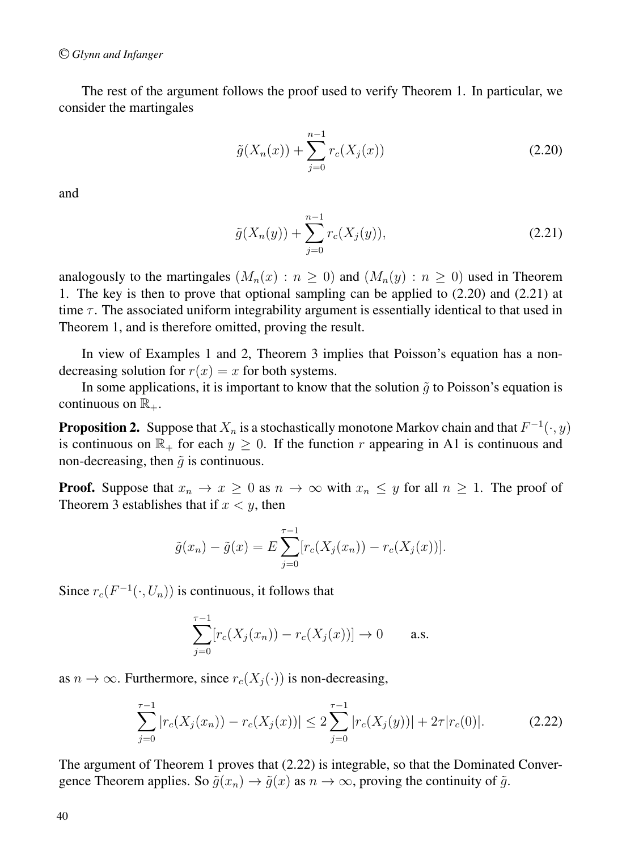The rest of the argument follows the proof used to verify Theorem 1. In particular, we consider the martingales

$$
\tilde{g}(X_n(x)) + \sum_{j=0}^{n-1} r_c(X_j(x))
$$
\n(2.20)

and

$$
\tilde{g}(X_n(y)) + \sum_{j=0}^{n-1} r_c(X_j(y)),
$$
\n(2.21)

analogously to the martingales  $(M_n(x) : n \ge 0)$  and  $(M_n(y) : n \ge 0)$  used in Theorem 1. The key is then to prove that optional sampling can be applied to (2.20) and (2.21) at time  $\tau$ . The associated uniform integrability argument is essentially identical to that used in Theorem 1, and is therefore omitted, proving the result.

In view of Examples 1 and 2, Theorem 3 implies that Poisson's equation has a nondecreasing solution for  $r(x) = x$  for both systems.

In some applications, it is important to know that the solution  $\tilde{q}$  to Poisson's equation is continuous on  $\mathbb{R}_+$ .

**Proposition 2.** Suppose that  $X_n$  is a stochastically monotone Markov chain and that  $F^{-1}(\cdot, y)$ is continuous on  $\mathbb{R}_+$  for each  $y \geq 0$ . If the function r appearing in A1 is continuous and non-decreasing, then  $\tilde{q}$  is continuous.

**Proof.** Suppose that  $x_n \to x \geq 0$  as  $n \to \infty$  with  $x_n \leq y$  for all  $n \geq 1$ . The proof of Theorem 3 establishes that if  $x < y$ , then

$$
\tilde{g}(x_n) - \tilde{g}(x) = E \sum_{j=0}^{\tau-1} [r_c(X_j(x_n)) - r_c(X_j(x))].
$$

Since  $r_c(F^{-1}(\cdot, U_n))$  is continuous, it follows that

$$
\sum_{j=0}^{\tau-1} [r_c(X_j(x_n)) - r_c(X_j(x))] \to 0 \quad \text{a.s.}
$$

as  $n \to \infty$ . Furthermore, since  $r_c(X_i(\cdot))$  is non-decreasing,

$$
\sum_{j=0}^{\tau-1} |r_c(X_j(x_n)) - r_c(X_j(x))| \le 2 \sum_{j=0}^{\tau-1} |r_c(X_j(y))| + 2\tau |r_c(0)|.
$$
 (2.22)

The argument of Theorem 1 proves that (2.22) is integrable, so that the Dominated Convergence Theorem applies. So  $\tilde{g}(x_n) \to \tilde{g}(x)$  as  $n \to \infty$ , proving the continuity of  $\tilde{g}$ .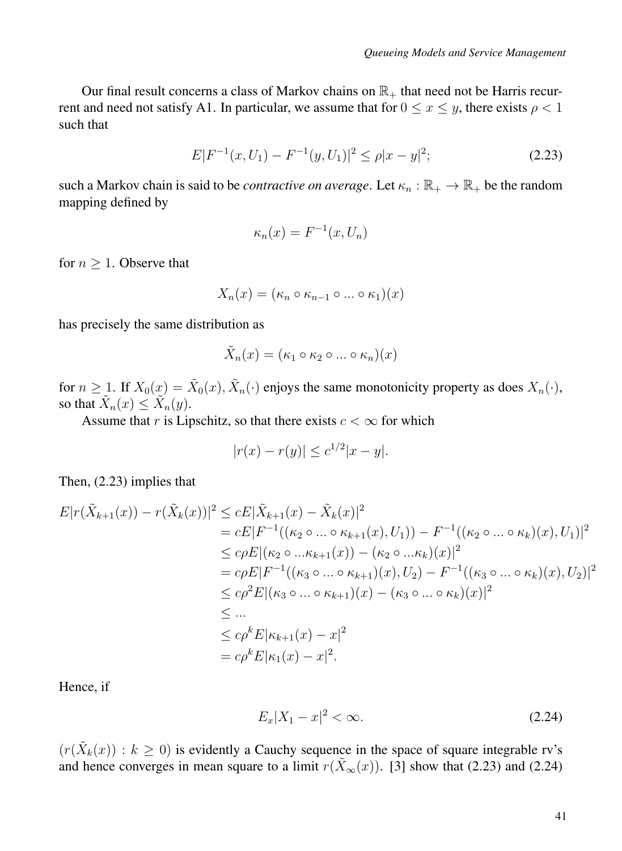Our final result concerns a class of Markov chains on  $\mathbb{R}_+$  that need not be Harris recurrent and need not satisfy A1. In particular, we assume that for  $0 \le x \le y$ , there exists  $\rho < 1$ such that

$$
E|F^{-1}(x, U_1) - F^{-1}(y, U_1)|^2 \le \rho |x - y|^2; \tag{2.23}
$$

such a Markov chain is said to be *contractive on average*. Let  $\kappa_n : \mathbb{R}_+ \to \mathbb{R}_+$  be the random mapping defined by

$$
\kappa_n(x) = F^{-1}(x, U_n)
$$

for  $n \geq 1$ . Observe that

$$
X_n(x) = (\kappa_n \circ \kappa_{n-1} \circ \dots \circ \kappa_1)(x)
$$

has precisely the same distribution as

$$
\tilde{X}_n(x) = (\kappa_1 \circ \kappa_2 \circ \dots \circ \kappa_n)(x)
$$

for  $n \ge 1$ . If  $X_0(x) = \tilde{X}_0(x)$ ,  $\tilde{X}_n(\cdot)$  enjoys the same monotonicity property as does  $X_n(\cdot)$ , so that  $\tilde{X}_n(x) \leq \tilde{X}_n(y)$ .

Assume that r is Lipschitz, so that there exists  $c < \infty$  for which

$$
|r(x) - r(y)| \le c^{1/2} |x - y|.
$$

Then, (2.23) implies that

$$
E|r(\tilde{X}_{k+1}(x)) - r(\tilde{X}_k(x))|^2 \le cE|\tilde{X}_{k+1}(x) - \tilde{X}_k(x)|^2
$$
  
\n
$$
= cE|F^{-1}((\kappa_2 \circ ... \circ \kappa_{k+1}(x), U_1)) - F^{-1}((\kappa_2 \circ ... \circ \kappa_k)(x), U_1)|^2
$$
  
\n
$$
\le c\rho E|(\kappa_2 \circ ... \kappa_{k+1}(x)) - (\kappa_2 \circ ... \kappa_k)(x)|^2
$$
  
\n
$$
= c\rho E|F^{-1}((\kappa_3 \circ ... \circ \kappa_{k+1})(x), U_2) - F^{-1}((\kappa_3 \circ ... \circ \kappa_k)(x), U_2)|^2
$$
  
\n
$$
\le c\rho^2 E|(\kappa_3 \circ ... \circ \kappa_{k+1})(x) - (\kappa_3 \circ ... \circ \kappa_k)(x)|^2
$$
  
\n
$$
\le ...
$$
  
\n
$$
\le c\rho^k E|\kappa_{k+1}(x) - x|^2
$$
  
\n
$$
= c\rho^k E|\kappa_1(x) - x|^2.
$$

Hence, if

$$
E_x|X_1 - x|^2 < \infty. \tag{2.24}
$$

 $(r(\tilde{X}_k(x)) : k \ge 0)$  is evidently a Cauchy sequence in the space of square integrable rv's and hence converges in mean square to a limit  $r(\tilde{X}_{\infty}(x))$ . [3] show that (2.23) and (2.24)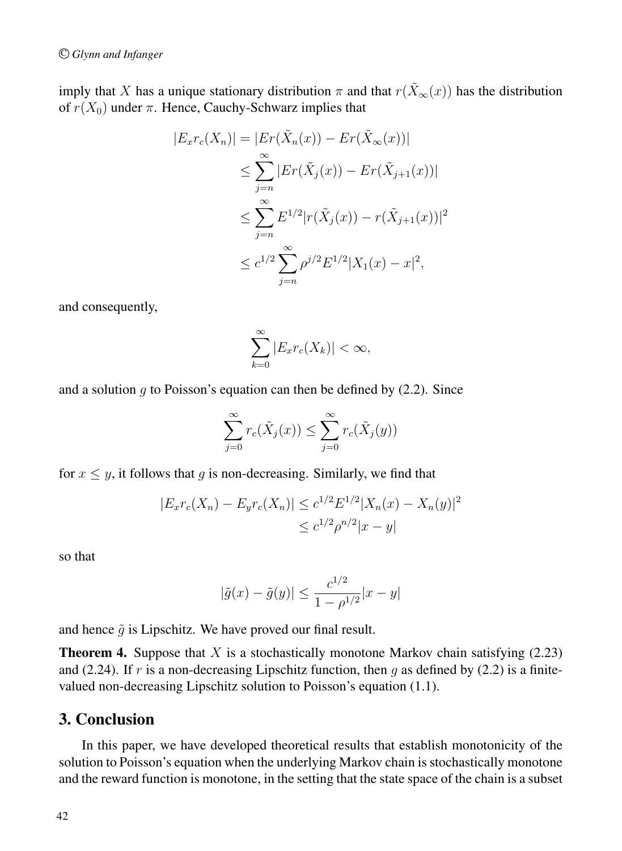imply that X has a unique stationary distribution  $\pi$  and that  $r(\tilde{X}_{\infty}(x))$  has the distribution of  $r(X_0)$  under  $\pi$ . Hence, Cauchy-Schwarz implies that

$$
|E_x r_c(X_n)| = |Er(\tilde{X}_n(x)) - Er(\tilde{X}_\infty(x))|
$$
  
\n
$$
\leq \sum_{j=n}^{\infty} |Er(\tilde{X}_j(x)) - Er(\tilde{X}_{j+1}(x))|
$$
  
\n
$$
\leq \sum_{j=n}^{\infty} E^{1/2} |r(\tilde{X}_j(x)) - r(\tilde{X}_{j+1}(x))|^2
$$
  
\n
$$
\leq c^{1/2} \sum_{j=n}^{\infty} \rho^{j/2} E^{1/2} |X_1(x) - x|^2,
$$

and consequently,

$$
\sum_{k=0}^{\infty} |E_x r_c(X_k)| < \infty,
$$

and a solution q to Poisson's equation can then be defined by  $(2.2)$ . Since

$$
\sum_{j=0}^{\infty} r_c(\tilde{X}_j(x)) \le \sum_{j=0}^{\infty} r_c(\tilde{X}_j(y))
$$

for  $x \leq y$ , it follows that g is non-decreasing. Similarly, we find that

$$
|E_x r_c(X_n) - E_y r_c(X_n)| \le c^{1/2} E^{1/2} |X_n(x) - X_n(y)|^2
$$
  

$$
\le c^{1/2} \rho^{n/2} |x - y|
$$

so that

$$
|\tilde{g}(x) - \tilde{g}(y)| \le \frac{c^{1/2}}{1 - \rho^{1/2}} |x - y|
$$

and hence  $\tilde{g}$  is Lipschitz. We have proved our final result.

**Theorem 4.** Suppose that X is a stochastically monotone Markov chain satisfying  $(2.23)$ and (2.24). If r is a non-decreasing Lipschitz function, then g as defined by (2.2) is a finitevalued non-decreasing Lipschitz solution to Poisson's equation (1.1).

### 3. Conclusion

In this paper, we have developed theoretical results that establish monotonicity of the solution to Poisson's equation when the underlying Markov chain is stochastically monotone and the reward function is monotone, in the setting that the state space of the chain is a subset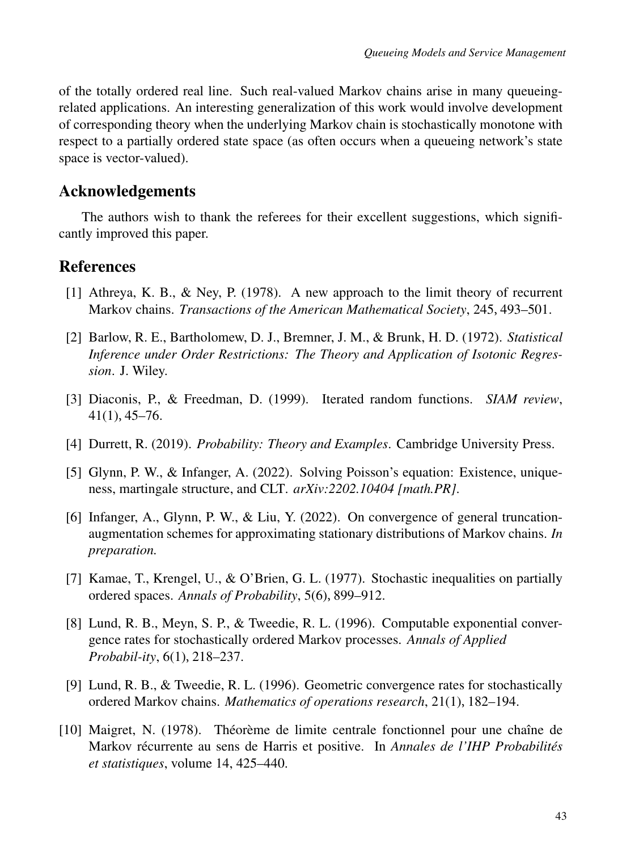of the totally ordered real line. Such real-valued Markov chains arise in many queueingrelated applications. An interesting generalization of this work would involve development of corresponding theory when the underlying Markov chain is stochastically monotone with respect to a partially ordered state space (as often occurs when a queueing network's state space is vector-valued).

## Acknowledgements

The authors wish to thank the referees for their excellent suggestions, which significantly improved this paper.

## References

- [1] Athreya, K. B., & Ney, P. (1978). A new approach to the limit theory of recurrent Markov chains. *Transactions of the American Mathematical Society*, 245, 493–501.
- [2] Barlow, R. E., Bartholomew, D. J., Bremner, J. M., & Brunk, H. D. (1972). *Statistical Inference under Order Restrictions: The Theory and Application of Isotonic Regression*. J. Wiley.
- [3] Diaconis, P., & Freedman, D. (1999). Iterated random functions. *SIAM review*, 41(1), 45–76.
- [4] Durrett, R. (2019). *Probability: Theory and Examples*. Cambridge University Press.
- [5] Glynn, P. W., & Infanger, A. (2022). Solving Poisson's equation: Existence, uniqueness, martingale structure, and CLT. *arXiv:2202.10404 [math.PR]*.
- [6] Infanger, A., Glynn, P. W., & Liu, Y. (2022). On convergence of general truncationaugmentation schemes for approximating stationary distributions of Markov chains. *In preparation.*
- [7] Kamae, T., Krengel, U., & O'Brien, G. L. (1977). Stochastic inequalities on partially ordered spaces. *Annals of Probability*, 5(6), 899–912.
- [8] Lund, R. B., Meyn, S. P., & Tweedie, R. L. (1996). Computable exponential convergence rates for stochastically ordered Markov processes. *Annals of Applied Probabil-ity*, 6(1), 218–237.
- [9] Lund, R. B., & Tweedie, R. L. (1996). Geometric convergence rates for stochastically ordered Markov chains. *Mathematics of operations research*, 21(1), 182–194.
- [10] Maigret, N. (1978). Théorème de limite centrale fonctionnel pour une chaîne de Markov récurrente au sens de Harris et positive. In *Annales de l'IHP Probabilités et statistiques*, volume 14, 425–440.